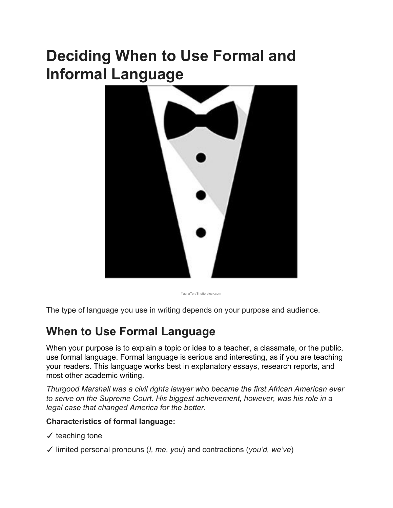# **Deciding When to Use Formal and Informal Language**



YasnaTen/Shutterstock.com

The type of language you use in writing depends on your purpose and audience.

### **When to Use Formal Language**

When your purpose is to explain a topic or idea to a teacher, a classmate, or the public, use formal language. Formal language is serious and interesting, as if you are teaching your readers. This language works best in explanatory essays, research reports, and most other academic writing.

*Thurgood Marshall was a civil rights lawyer who became the first African American ever to serve on the Supreme Court. His biggest achievement, however, was his role in a legal case that changed America for the better.*

### **Characteristics of formal language:**

- $\checkmark$  teaching tone
- ✓ limited personal pronouns (*I, me, you*) and contractions (*you'd, we've*)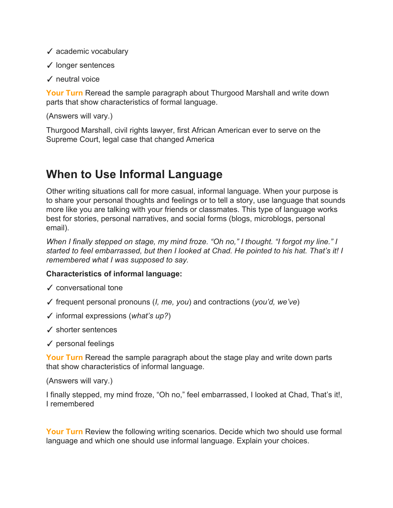- ✓ academic vocabulary
- ✓ longer sentences
- ✓ neutral voice

**Your Turn**Reread the sample paragraph about Thurgood Marshall and write down parts that show characteristics of formal language.

(Answers will vary.)

Thurgood Marshall, civil rights lawyer, first African American ever to serve on the Supreme Court, legal case that changed America

## **When to Use Informal Language**

Other writing situations call for more casual, informal language. When your purpose is to share your personal thoughts and feelings or to tell a story, use language that sounds more like you are talking with your friends or classmates. This type of language works best for stories, personal narratives, and social forms (blogs, microblogs, personal email).

*When I finally stepped on stage, my mind froze. "Oh no," I thought. "I forgot my line." I started to feel embarrassed, but then I looked at Chad. He pointed to his hat. That's it! I remembered what I was supposed to say.*

### **Characteristics of informal language:**

- ✓ conversational tone
- ✓ frequent personal pronouns (*I, me, you*) and contractions (*you'd, we've*)
- ✓ informal expressions (*what's up?*)
- ✓ shorter sentences
- ✓ personal feelings

**Your Turn**Reread the sample paragraph about the stage play and write down parts that show characteristics of informal language.

(Answers will vary.)

I finally stepped, my mind froze, "Oh no," feel embarrassed, I looked at Chad, That's it!, I remembered

**Your Turn**Review the following writing scenarios. Decide which two should use formal language and which one should use informal language. Explain your choices.